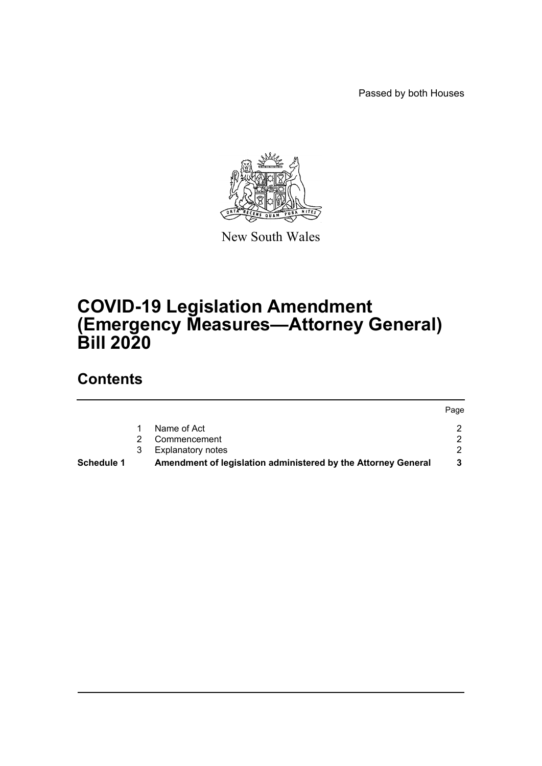Passed by both Houses



New South Wales

# **COVID-19 Legislation Amendment (Emergency Measures—Attorney General) Bill 2020**

# **Contents**

|                   |   |                                                               | Page |
|-------------------|---|---------------------------------------------------------------|------|
|                   |   | Name of Act                                                   |      |
|                   |   | Commencement                                                  |      |
|                   | 3 | <b>Explanatory notes</b>                                      |      |
| <b>Schedule 1</b> |   | Amendment of legislation administered by the Attorney General |      |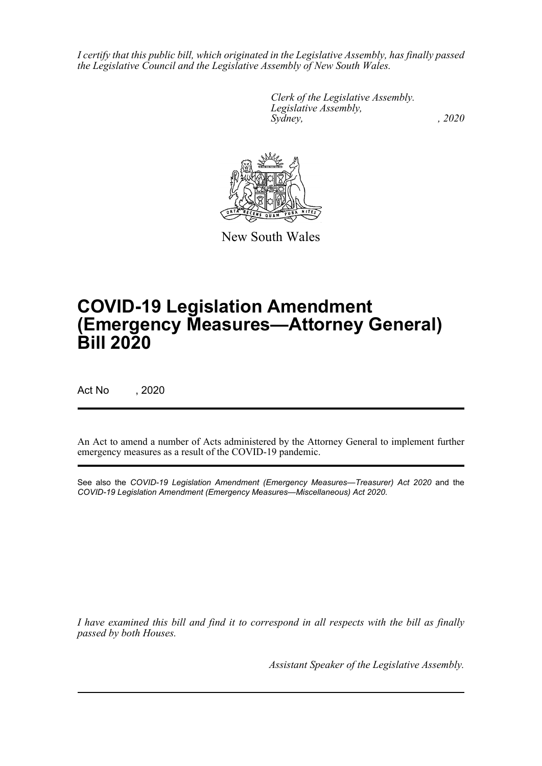*I certify that this public bill, which originated in the Legislative Assembly, has finally passed the Legislative Council and the Legislative Assembly of New South Wales.*

> *Clerk of the Legislative Assembly. Legislative Assembly, Sydney, , 2020*



New South Wales

# **COVID-19 Legislation Amendment (Emergency Measures—Attorney General) Bill 2020**

Act No , 2020

An Act to amend a number of Acts administered by the Attorney General to implement further emergency measures as a result of the COVID-19 pandemic.

See also the *COVID-19 Legislation Amendment (Emergency Measures—Treasurer) Act 2020* and the *COVID-19 Legislation Amendment (Emergency Measures—Miscellaneous) Act 2020*.

*I have examined this bill and find it to correspond in all respects with the bill as finally passed by both Houses.*

*Assistant Speaker of the Legislative Assembly.*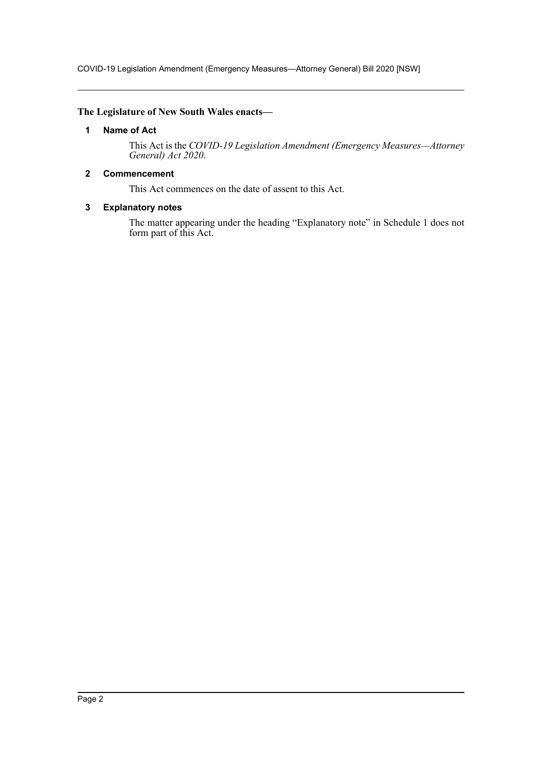COVID-19 Legislation Amendment (Emergency Measures—Attorney General) Bill 2020 [NSW]

## <span id="page-2-0"></span>**The Legislature of New South Wales enacts—**

## **1 Name of Act**

This Act is the *COVID-19 Legislation Amendment (Emergency Measures—Attorney General) Act 2020*.

## <span id="page-2-1"></span>**2 Commencement**

This Act commences on the date of assent to this Act.

## <span id="page-2-2"></span>**3 Explanatory notes**

The matter appearing under the heading "Explanatory note" in Schedule 1 does not form part of this Act.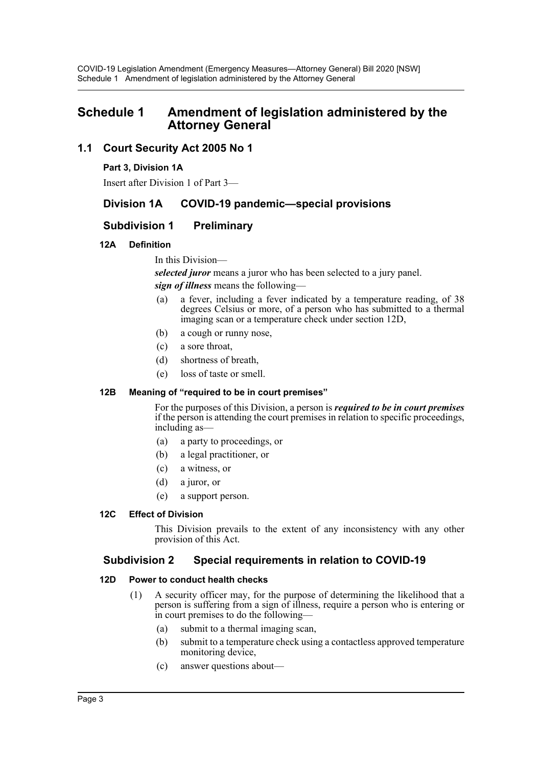# <span id="page-3-0"></span>**Schedule 1 Amendment of legislation administered by the Attorney General**

# **1.1 Court Security Act 2005 No 1**

## **Part 3, Division 1A**

Insert after Division 1 of Part 3—

# **Division 1A COVID-19 pandemic—special provisions**

# **Subdivision 1 Preliminary**

## **12A Definition**

In this Division—

*selected juror* means a juror who has been selected to a jury panel. *sign of illness* means the following—

- (a) a fever, including a fever indicated by a temperature reading, of 38 degrees Celsius or more, of a person who has submitted to a thermal imaging scan or a temperature check under section 12D,
- (b) a cough or runny nose,
- (c) a sore throat,
- (d) shortness of breath,
- (e) loss of taste or smell.

## **12B Meaning of "required to be in court premises"**

For the purposes of this Division, a person is *required to be in court premises* if the person is attending the court premises in relation to specific proceedings, including as—

- (a) a party to proceedings, or
- (b) a legal practitioner, or
- (c) a witness, or
- (d) a juror, or
- (e) a support person.

## **12C Effect of Division**

This Division prevails to the extent of any inconsistency with any other provision of this Act.

# **Subdivision 2 Special requirements in relation to COVID-19**

## **12D Power to conduct health checks**

- (1) A security officer may, for the purpose of determining the likelihood that a person is suffering from a sign of illness, require a person who is entering or in court premises to do the following—
	- (a) submit to a thermal imaging scan,
	- (b) submit to a temperature check using a contactless approved temperature monitoring device,
	- (c) answer questions about—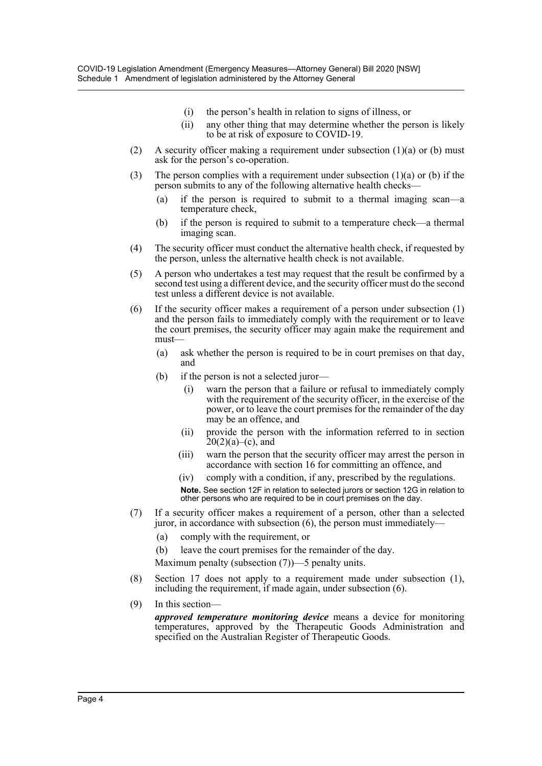- (i) the person's health in relation to signs of illness, or
- (ii) any other thing that may determine whether the person is likely to be at risk of exposure to COVID-19.
- (2) A security officer making a requirement under subsection  $(1)(a)$  or (b) must ask for the person's co-operation.
- (3) The person complies with a requirement under subsection  $(1)(a)$  or (b) if the person submits to any of the following alternative health checks—
	- (a) if the person is required to submit to a thermal imaging scan—a temperature check,
	- (b) if the person is required to submit to a temperature check—a thermal imaging scan.
- (4) The security officer must conduct the alternative health check, if requested by the person, unless the alternative health check is not available.
- (5) A person who undertakes a test may request that the result be confirmed by a second test using a different device, and the security officer must do the second test unless a different device is not available.
- (6) If the security officer makes a requirement of a person under subsection (1) and the person fails to immediately comply with the requirement or to leave the court premises, the security officer may again make the requirement and must—
	- (a) ask whether the person is required to be in court premises on that day, and
	- (b) if the person is not a selected juror—
		- (i) warn the person that a failure or refusal to immediately comply with the requirement of the security officer, in the exercise of the power, or to leave the court premises for the remainder of the day may be an offence, and
		- (ii) provide the person with the information referred to in section  $20(2)(a)$ –(c), and
		- (iii) warn the person that the security officer may arrest the person in accordance with section 16 for committing an offence, and
		- (iv) comply with a condition, if any, prescribed by the regulations.

**Note.** See section 12F in relation to selected jurors or section 12G in relation to other persons who are required to be in court premises on the day.

- (7) If a security officer makes a requirement of a person, other than a selected juror, in accordance with subsection (6), the person must immediately—
	- (a) comply with the requirement, or
	- (b) leave the court premises for the remainder of the day.

Maximum penalty (subsection (7))—5 penalty units.

- (8) Section 17 does not apply to a requirement made under subsection (1), including the requirement, if made again, under subsection (6).
- (9) In this section—

*approved temperature monitoring device* means a device for monitoring temperatures, approved by the Therapeutic Goods Administration and specified on the Australian Register of Therapeutic Goods.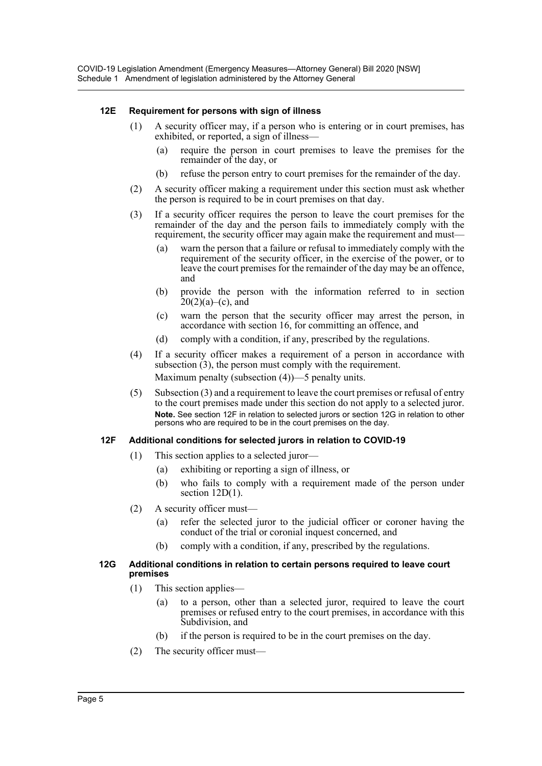## **12E Requirement for persons with sign of illness**

- (1) A security officer may, if a person who is entering or in court premises, has exhibited, or reported, a sign of illness—
	- (a) require the person in court premises to leave the premises for the remainder of the day, or
	- (b) refuse the person entry to court premises for the remainder of the day.
- (2) A security officer making a requirement under this section must ask whether the person is required to be in court premises on that day.
- (3) If a security officer requires the person to leave the court premises for the remainder of the day and the person fails to immediately comply with the requirement, the security officer may again make the requirement and must—
	- (a) warn the person that a failure or refusal to immediately comply with the requirement of the security officer, in the exercise of the power, or to leave the court premises for the remainder of the day may be an offence, and
	- (b) provide the person with the information referred to in section  $20(2)(a)$ –(c), and
	- (c) warn the person that the security officer may arrest the person, in accordance with section 16, for committing an offence, and
	- (d) comply with a condition, if any, prescribed by the regulations.
- (4) If a security officer makes a requirement of a person in accordance with subsection (3), the person must comply with the requirement. Maximum penalty (subsection (4))—5 penalty units.
- (5) Subsection (3) and a requirement to leave the court premises or refusal of entry to the court premises made under this section do not apply to a selected juror. **Note.** See section 12F in relation to selected jurors or section 12G in relation to other persons who are required to be in the court premises on the day.

## **12F Additional conditions for selected jurors in relation to COVID-19**

- (1) This section applies to a selected juror—
	- (a) exhibiting or reporting a sign of illness, or
	- (b) who fails to comply with a requirement made of the person under section 12D(1).
- (2) A security officer must—
	- (a) refer the selected juror to the judicial officer or coroner having the conduct of the trial or coronial inquest concerned, and
	- (b) comply with a condition, if any, prescribed by the regulations.

#### **12G Additional conditions in relation to certain persons required to leave court premises**

- (1) This section applies—
	- (a) to a person, other than a selected juror, required to leave the court premises or refused entry to the court premises, in accordance with this Subdivision, and
	- (b) if the person is required to be in the court premises on the day.
- (2) The security officer must—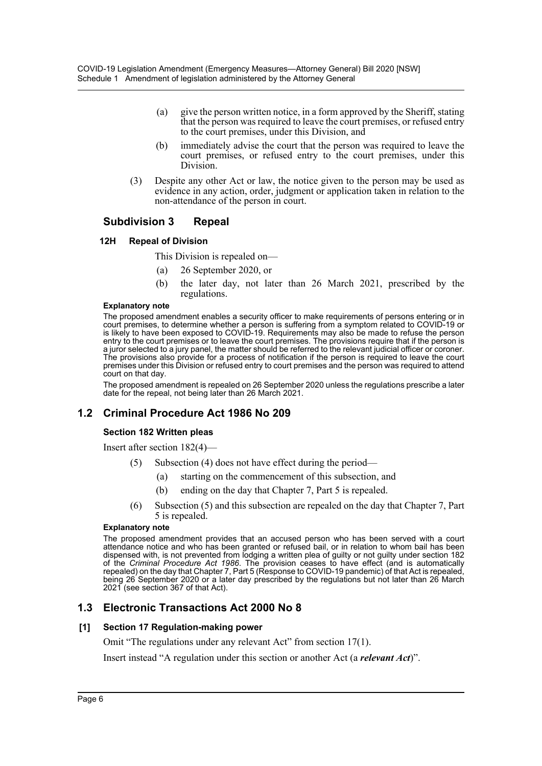- (a) give the person written notice, in a form approved by the Sheriff, stating that the person was required to leave the court premises, or refused entry to the court premises, under this Division, and
- (b) immediately advise the court that the person was required to leave the court premises, or refused entry to the court premises, under this Division.
- (3) Despite any other Act or law, the notice given to the person may be used as evidence in any action, order, judgment or application taken in relation to the non-attendance of the person in court.

# **Subdivision 3 Repeal**

## **12H Repeal of Division**

This Division is repealed on—

- (a) 26 September 2020, or
- (b) the later day, not later than 26 March 2021, prescribed by the regulations.

#### **Explanatory note**

The proposed amendment enables a security officer to make requirements of persons entering or in court premises, to determine whether a person is suffering from a symptom related to COVID-19 or is likely to have been exposed to COVID-19. Requirements may also be made to refuse the person entry to the court premises or to leave the court premises. The provisions require that if the person is a juror selected to a jury panel, the matter should be referred to the relevant judicial officer or coroner. The provisions also provide for a process of notification if the person is required to leave the court premises under this Division or refused entry to court premises and the person was required to attend court on that day.

The proposed amendment is repealed on 26 September 2020 unless the regulations prescribe a later date for the repeal, not being later than 26 March 2021.

# **1.2 Criminal Procedure Act 1986 No 209**

## **Section 182 Written pleas**

Insert after section 182(4)—

- (5) Subsection (4) does not have effect during the period—
	- (a) starting on the commencement of this subsection, and
	- (b) ending on the day that Chapter 7, Part 5 is repealed.
- (6) Subsection (5) and this subsection are repealed on the day that Chapter 7, Part 5 is repealed.

## **Explanatory note**

The proposed amendment provides that an accused person who has been served with a court attendance notice and who has been granted or refused bail, or in relation to whom bail has been dispensed with, is not prevented from lodging a written plea of guilty or not guilty under section 182 of the *Criminal Procedure Act 1986*. The provision ceases to have effect (and is automatically repealed) on the day that Chapter 7, Part 5 (Response to COVID-19 pandemic) of that Act is repealed, being 26 September 2020 or a later day prescribed by the regulations but not later than 26 March 2021 (see section 367 of that Act).

# **1.3 Electronic Transactions Act 2000 No 8**

## **[1] Section 17 Regulation-making power**

Omit "The regulations under any relevant Act" from section 17(1).

Insert instead "A regulation under this section or another Act (a *relevant Act*)".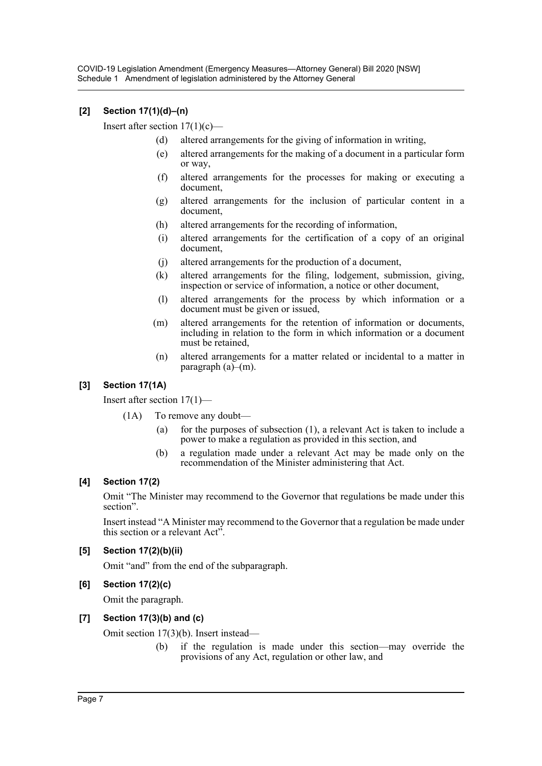## **[2] Section 17(1)(d)–(n)**

Insert after section  $17(1)(c)$ —

- (d) altered arrangements for the giving of information in writing,
- (e) altered arrangements for the making of a document in a particular form or way,
- (f) altered arrangements for the processes for making or executing a document,
- (g) altered arrangements for the inclusion of particular content in a document,
- (h) altered arrangements for the recording of information,
- (i) altered arrangements for the certification of a copy of an original document,
- (j) altered arrangements for the production of a document,
- (k) altered arrangements for the filing, lodgement, submission, giving, inspection or service of information, a notice or other document,
- (l) altered arrangements for the process by which information or a document must be given or issued,
- (m) altered arrangements for the retention of information or documents, including in relation to the form in which information or a document must be retained,
- (n) altered arrangements for a matter related or incidental to a matter in paragraph (a)–(m).

## **[3] Section 17(1A)**

Insert after section 17(1)—

- (1A) To remove any doubt—
	- (a) for the purposes of subsection (1), a relevant Act is taken to include a power to make a regulation as provided in this section, and
	- (b) a regulation made under a relevant Act may be made only on the recommendation of the Minister administering that Act.

## **[4] Section 17(2)**

Omit "The Minister may recommend to the Governor that regulations be made under this section".

Insert instead "A Minister may recommend to the Governor that a regulation be made under this section or a relevant Act".

## **[5] Section 17(2)(b)(ii)**

Omit "and" from the end of the subparagraph.

## **[6] Section 17(2)(c)**

Omit the paragraph.

## **[7] Section 17(3)(b) and (c)**

Omit section 17(3)(b). Insert instead—

(b) if the regulation is made under this section—may override the provisions of any Act, regulation or other law, and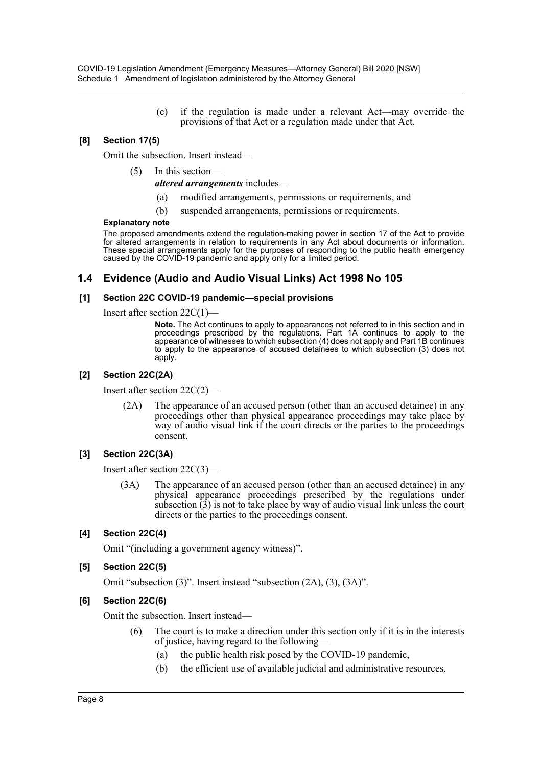(c) if the regulation is made under a relevant Act—may override the provisions of that Act or a regulation made under that Act.

## **[8] Section 17(5)**

Omit the subsection. Insert instead—

(5) In this section—

*altered arrangements* includes—

- (a) modified arrangements, permissions or requirements, and
- (b) suspended arrangements, permissions or requirements.

#### **Explanatory note**

The proposed amendments extend the regulation-making power in section 17 of the Act to provide for altered arrangements in relation to requirements in any Act about documents or information. These special arrangements apply for the purposes of responding to the public health emergency caused by the COVID-19 pandemic and apply only for a limited period.

## **1.4 Evidence (Audio and Audio Visual Links) Act 1998 No 105**

## **[1] Section 22C COVID-19 pandemic—special provisions**

Insert after section 22C(1)—

**Note.** The Act continues to apply to appearances not referred to in this section and in proceedings prescribed by the regulations. Part 1A continues to apply to the appearance of witnesses to which subsection (4) does not apply and Part 1B continues to apply to the appearance of accused detainees to which subsection (3) does not apply.

## **[2] Section 22C(2A)**

Insert after section 22C(2)—

(2A) The appearance of an accused person (other than an accused detainee) in any proceedings other than physical appearance proceedings may take place by way of audio visual link if the court directs or the parties to the proceedings consent.

## **[3] Section 22C(3A)**

Insert after section 22C(3)—

(3A) The appearance of an accused person (other than an accused detainee) in any physical appearance proceedings prescribed by the regulations under subsection  $\tilde{3}$ ) is not to take place by way of audio visual link unless the court directs or the parties to the proceedings consent.

## **[4] Section 22C(4)**

Omit "(including a government agency witness)".

## **[5] Section 22C(5)**

Omit "subsection (3)". Insert instead "subsection (2A), (3), (3A)".

## **[6] Section 22C(6)**

Omit the subsection. Insert instead—

- (6) The court is to make a direction under this section only if it is in the interests of justice, having regard to the following—
	- (a) the public health risk posed by the COVID-19 pandemic,
	- (b) the efficient use of available judicial and administrative resources,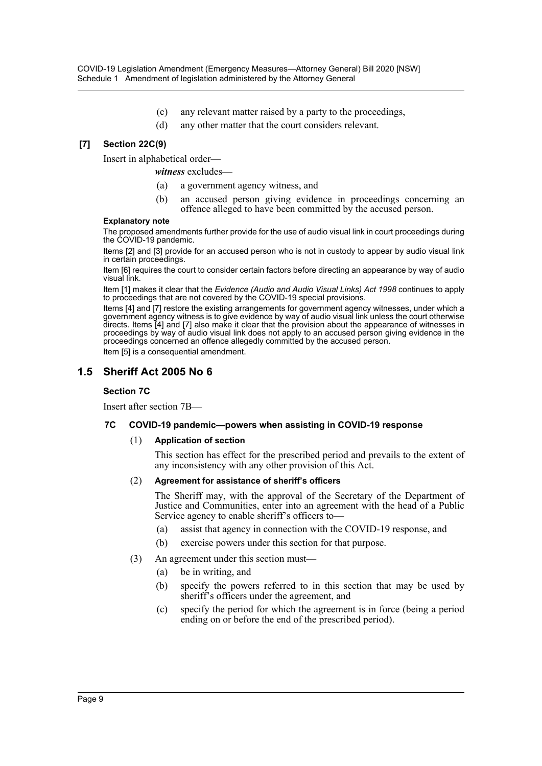- (c) any relevant matter raised by a party to the proceedings,
- (d) any other matter that the court considers relevant.

## **[7] Section 22C(9)**

Insert in alphabetical order—

- *witness* excludes—
	- (a) a government agency witness, and
	- (b) an accused person giving evidence in proceedings concerning an offence alleged to have been committed by the accused person.

#### **Explanatory note**

The proposed amendments further provide for the use of audio visual link in court proceedings during the COVID-19 pandemic.

Items [2] and [3] provide for an accused person who is not in custody to appear by audio visual link in certain proceedings.

Item [6] requires the court to consider certain factors before directing an appearance by way of audio visual link.

Item [1] makes it clear that the *Evidence (Audio and Audio Visual Links) Act 1998* continues to apply to proceedings that are not covered by the COVID-19 special provisions.

Items [4] and [7] restore the existing arrangements for government agency witnesses, under which a government agency witness is to give evidence by way of audio visual link unless the court otherwise directs. Items [4] and [7] also make it clear that the provision about the appearance of witnesses in proceedings by way of audio visual link does not apply to an accused person giving evidence in the proceedings concerned an offence allegedly committed by the accused person.

Item [5] is a consequential amendment.

# **1.5 Sheriff Act 2005 No 6**

## **Section 7C**

Insert after section 7B—

## **7C COVID-19 pandemic—powers when assisting in COVID-19 response**

#### (1) **Application of section**

This section has effect for the prescribed period and prevails to the extent of any inconsistency with any other provision of this Act.

#### (2) **Agreement for assistance of sheriff's officers**

The Sheriff may, with the approval of the Secretary of the Department of Justice and Communities, enter into an agreement with the head of a Public Service agency to enable sheriff's officers to—

- (a) assist that agency in connection with the COVID-19 response, and
- (b) exercise powers under this section for that purpose.
- (3) An agreement under this section must—
	- (a) be in writing, and
	- (b) specify the powers referred to in this section that may be used by sheriff's officers under the agreement, and
	- (c) specify the period for which the agreement is in force (being a period ending on or before the end of the prescribed period).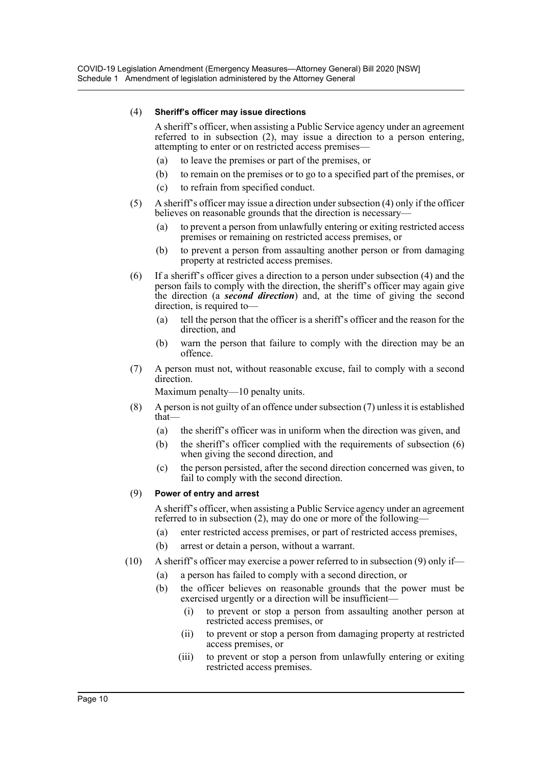## (4) **Sheriff's officer may issue directions**

A sheriff's officer, when assisting a Public Service agency under an agreement referred to in subsection (2), may issue a direction to a person entering, attempting to enter or on restricted access premises—

- (a) to leave the premises or part of the premises, or
- (b) to remain on the premises or to go to a specified part of the premises, or
- (c) to refrain from specified conduct.
- (5) A sheriff's officer may issue a direction under subsection (4) only if the officer believes on reasonable grounds that the direction is necessary-
	- (a) to prevent a person from unlawfully entering or exiting restricted access premises or remaining on restricted access premises, or
	- (b) to prevent a person from assaulting another person or from damaging property at restricted access premises.
- (6) If a sheriff's officer gives a direction to a person under subsection (4) and the person fails to comply with the direction, the sheriff's officer may again give the direction (a *second direction*) and, at the time of giving the second direction, is required to—
	- (a) tell the person that the officer is a sheriff's officer and the reason for the direction, and
	- (b) warn the person that failure to comply with the direction may be an offence.
- (7) A person must not, without reasonable excuse, fail to comply with a second direction.

Maximum penalty—10 penalty units.

- (8) A person is not guilty of an offence under subsection (7) unless it is established that—
	- (a) the sheriff's officer was in uniform when the direction was given, and
	- (b) the sheriff's officer complied with the requirements of subsection (6) when giving the second direction, and
	- (c) the person persisted, after the second direction concerned was given, to fail to comply with the second direction.

## (9) **Power of entry and arrest**

A sheriff's officer, when assisting a Public Service agency under an agreement referred to in subsection (2), may do one or more of the following—

- (a) enter restricted access premises, or part of restricted access premises,
- (b) arrest or detain a person, without a warrant.
- (10) A sheriff's officer may exercise a power referred to in subsection (9) only if—
	- (a) a person has failed to comply with a second direction, or
	- (b) the officer believes on reasonable grounds that the power must be exercised urgently or a direction will be insufficient—
		- (i) to prevent or stop a person from assaulting another person at restricted access premises, or
		- (ii) to prevent or stop a person from damaging property at restricted access premises, or
		- (iii) to prevent or stop a person from unlawfully entering or exiting restricted access premises.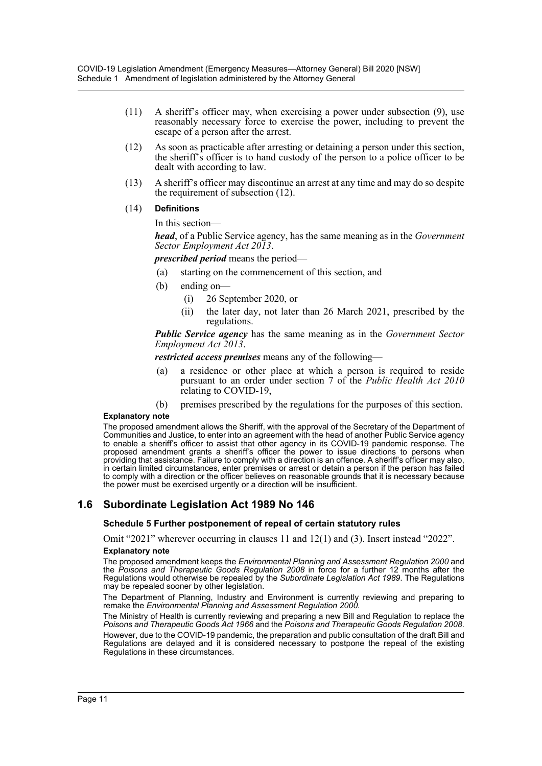- (11) A sheriff's officer may, when exercising a power under subsection (9), use reasonably necessary force to exercise the power, including to prevent the escape of a person after the arrest.
- (12) As soon as practicable after arresting or detaining a person under this section, the sheriff's officer is to hand custody of the person to a police officer to be dealt with according to law.
- (13) A sheriff's officer may discontinue an arrest at any time and may do so despite the requirement of subsection (12).

#### (14) **Definitions**

In this section—

*head*, of a Public Service agency, has the same meaning as in the *Government Sector Employment Act 2013*.

*prescribed period* means the period—

- (a) starting on the commencement of this section, and
- (b) ending on—
	- (i) 26 September 2020, or
	- (ii) the later day, not later than 26 March 2021, prescribed by the regulations.

*Public Service agency* has the same meaning as in the *Government Sector Employment Act 2013*.

*restricted access premises* means any of the following—

- (a) a residence or other place at which a person is required to reside pursuant to an order under section 7 of the *Public Health Act 2010* relating to COVID-19,
- (b) premises prescribed by the regulations for the purposes of this section.

#### **Explanatory note**

The proposed amendment allows the Sheriff, with the approval of the Secretary of the Department of Communities and Justice, to enter into an agreement with the head of another Public Service agency to enable a sheriff's officer to assist that other agency in its COVID-19 pandemic response. The proposed amendment grants a sheriff's officer the power to issue directions to persons when providing that assistance. Failure to comply with a direction is an offence. A sheriff's officer may also, in certain limited circumstances, enter premises or arrest or detain a person if the person has failed to comply with a direction or the officer believes on reasonable grounds that it is necessary because the power must be exercised urgently or a direction will be insufficient.

# **1.6 Subordinate Legislation Act 1989 No 146**

#### **Schedule 5 Further postponement of repeal of certain statutory rules**

Omit "2021" wherever occurring in clauses 11 and 12(1) and (3). Insert instead "2022".

## **Explanatory note**

The proposed amendment keeps the *Environmental Planning and Assessment Regulation 2000* and the *Poisons and Therapeutic Goods Regulation 2008* in force for a further 12 months after the Regulations would otherwise be repealed by the *Subordinate Legislation Act 1989*. The Regulations may be repealed sooner by other legislation.

The Department of Planning, Industry and Environment is currently reviewing and preparing to remake the *Environmental Planning and Assessment Regulation 2000*.

The Ministry of Health is currently reviewing and preparing a new Bill and Regulation to replace the *Poisons and Therapeutic Goods Act 1966* and the *Poisons and Therapeutic Goods Regulation 2008*.

However, due to the COVID-19 pandemic, the preparation and public consultation of the draft Bill and Regulations are delayed and it is considered necessary to postpone the repeal of the existing Regulations in these circumstances.